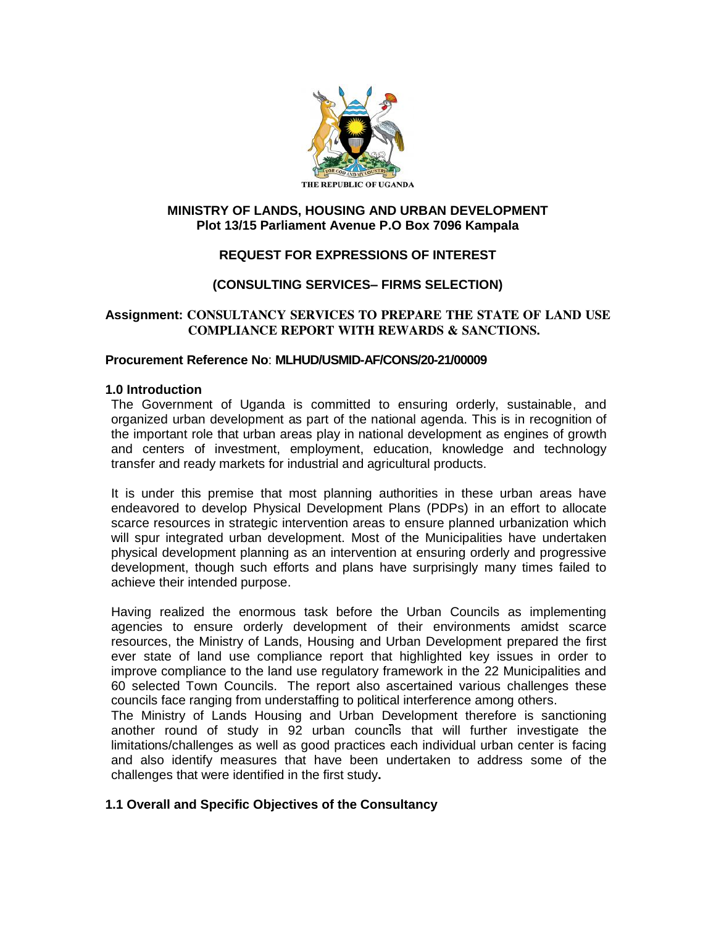

## **MINISTRY OF LANDS, HOUSING AND URBAN DEVELOPMENT Plot 13/15 Parliament Avenue P.O Box 7096 Kampala**

# **REQUEST FOR EXPRESSIONS OF INTEREST**

## **(CONSULTING SERVICES– FIRMS SELECTION)**

## **Assignment: CONSULTANCY SERVICES TO PREPARE THE STATE OF LAND USE COMPLIANCE REPORT WITH REWARDS & SANCTIONS.**

#### **Procurement Reference No**: **MLHUD/USMID-AF/CONS/20-21/00009**

#### **1.0 Introduction**

The Government of Uganda is committed to ensuring orderly, sustainable, and organized urban development as part of the national agenda. This is in recognition of the important role that urban areas play in national development as engines of growth and centers of investment, employment, education, knowledge and technology transfer and ready markets for industrial and agricultural products.

It is under this premise that most planning authorities in these urban areas have endeavored to develop Physical Development Plans (PDPs) in an effort to allocate scarce resources in strategic intervention areas to ensure planned urbanization which will spur integrated urban development. Most of the Municipalities have undertaken physical development planning as an intervention at ensuring orderly and progressive development, though such efforts and plans have surprisingly many times failed to achieve their intended purpose.

Having realized the enormous task before the Urban Councils as implementing agencies to ensure orderly development of their environments amidst scarce resources, the Ministry of Lands, Housing and Urban Development prepared the first ever state of land use compliance report that highlighted key issues in order to improve compliance to the land use regulatory framework in the 22 Municipalities and 60 selected Town Councils. The report also ascertained various challenges these councils face ranging from understaffing to political interference among others.

The Ministry of Lands Housing and Urban Development therefore is sanctioning another round of study in 92 urban councils that will further investigate the limitations/challenges as well as good practices each individual urban center is facing and also identify measures that have been undertaken to address some of the challenges that were identified in the first study**.**

## **1.1 Overall and Specific Objectives of the Consultancy**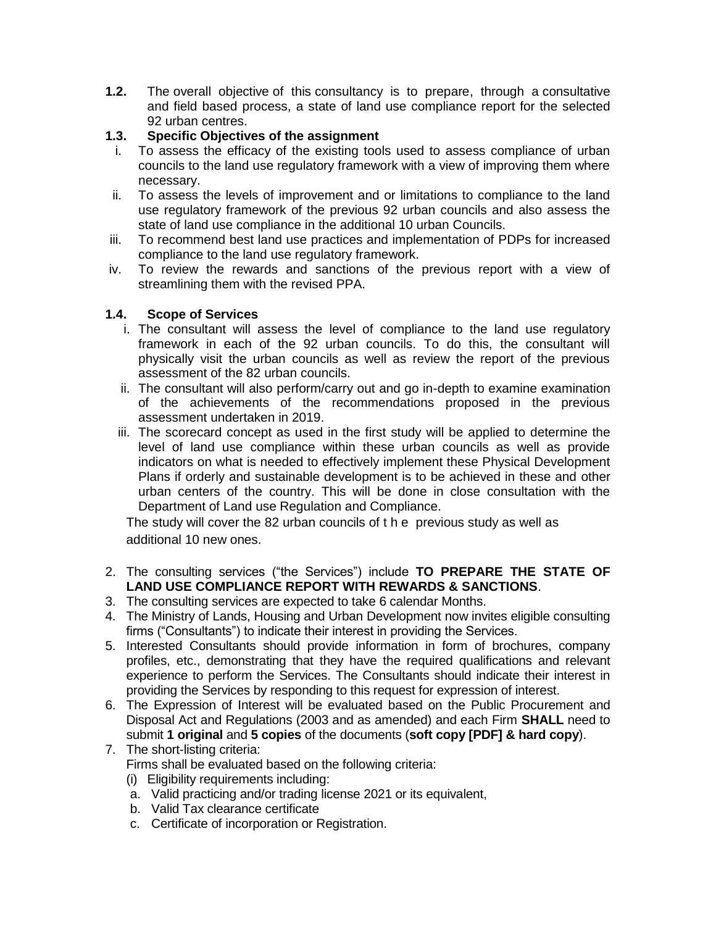**1.2.** The overall objective of this consultancy is to prepare, through a consultative and field based process, a state of land use compliance report for the selected 92 urban centres.

# **1.3. Specific Objectives of the assignment**

- i. To assess the efficacy of the existing tools used to assess compliance of urban councils to the land use regulatory framework with a view of improving them where necessary.
- ii. To assess the levels of improvement and or limitations to compliance to the land use regulatory framework of the previous 92 urban councils and also assess the state of land use compliance in the additional 10 urban Councils.
- iii. To recommend best land use practices and implementation of PDPs for increased compliance to the land use regulatory framework.
- iv. To review the rewards and sanctions of the previous report with a view of streamlining them with the revised PPA.

# **1.4. Scope of Services**

- i. The consultant will assess the level of compliance to the land use regulatory framework in each of the 92 urban councils. To do this, the consultant will physically visit the urban councils as well as review the report of the previous assessment of the 82 urban councils.
- ii. The consultant will also perform/carry out and go in-depth to examine examination of the achievements of the recommendations proposed in the previous assessment undertaken in 2019.
- iii. The scorecard concept as used in the first study will be applied to determine the level of land use compliance within these urban councils as well as provide indicators on what is needed to effectively implement these Physical Development Plans if orderly and sustainable development is to be achieved in these and other urban centers of the country. This will be done in close consultation with the Department of Land use Regulation and Compliance.

The study will cover the 82 urban councils of t h e previous study as well as additional 10 new ones.

- 2. The consulting services ("the Services") include **TO PREPARE THE STATE OF LAND USE COMPLIANCE REPORT WITH REWARDS & SANCTIONS**.
- 3. The consulting services are expected to take 6 calendar Months.
- 4. The Ministry of Lands, Housing and Urban Development now invites eligible consulting firms ("Consultants") to indicate their interest in providing the Services.
- 5. Interested Consultants should provide information in form of brochures, company profiles, etc., demonstrating that they have the required qualifications and relevant experience to perform the Services. The Consultants should indicate their interest in providing the Services by responding to this request for expression of interest.
- 6. The Expression of Interest will be evaluated based on the Public Procurement and Disposal Act and Regulations (2003 and as amended) and each Firm **SHALL** need to submit **1 original** and **5 copies** of the documents (**soft copy [PDF] & hard copy**).
- 7. The short-listing criteria: Firms shall be evaluated based on the following criteria:
	- (i) Eligibility requirements including:
	- a. Valid practicing and/or trading license 2021 or its equivalent,
	- b. Valid Tax clearance certificate
	- c. Certificate of incorporation or Registration.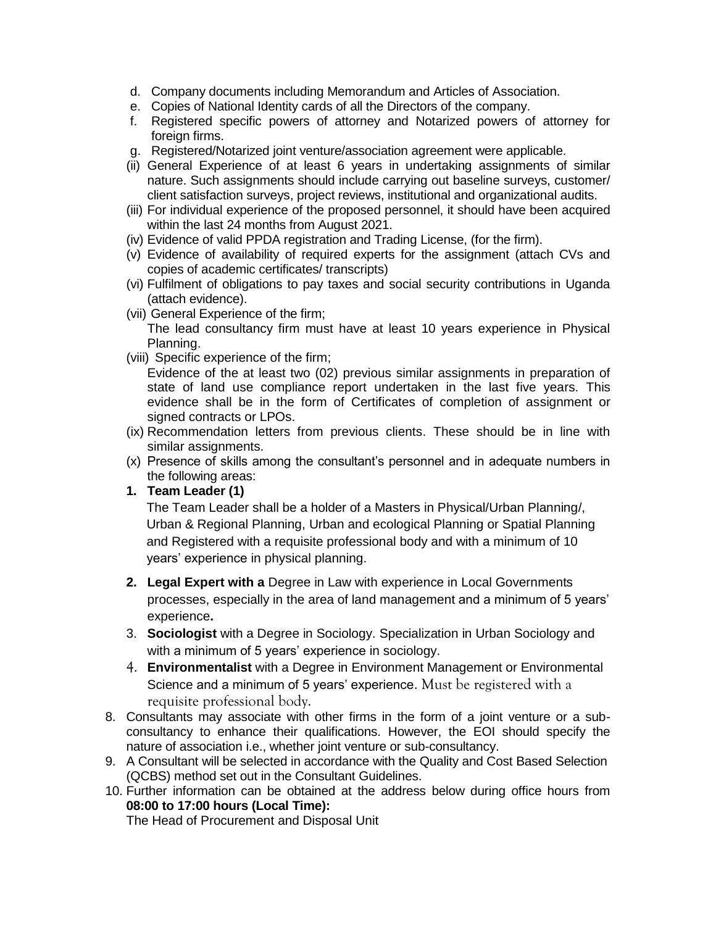- d. Company documents including Memorandum and Articles of Association.
- e. Copies of National Identity cards of all the Directors of the company.
- f. Registered specific powers of attorney and Notarized powers of attorney for foreign firms.
- g. Registered/Notarized joint venture/association agreement were applicable.
- (ii) General Experience of at least 6 years in undertaking assignments of similar nature. Such assignments should include carrying out baseline surveys, customer/ client satisfaction surveys, project reviews, institutional and organizational audits.
- (iii) For individual experience of the proposed personnel, it should have been acquired within the last 24 months from August 2021.
- (iv) Evidence of valid PPDA registration and Trading License, (for the firm).
- (v) Evidence of availability of required experts for the assignment (attach CVs and copies of academic certificates/ transcripts)
- (vi) Fulfilment of obligations to pay taxes and social security contributions in Uganda (attach evidence).
- (vii) General Experience of the firm;

The lead consultancy firm must have at least 10 years experience in Physical Planning.

(viii) Specific experience of the firm;

Evidence of the at least two (02) previous similar assignments in preparation of state of land use compliance report undertaken in the last five years. This evidence shall be in the form of Certificates of completion of assignment or signed contracts or LPOs.

- (ix) Recommendation letters from previous clients. These should be in line with similar assignments.
- (x) Presence of skills among the consultant's personnel and in adequate numbers in the following areas:
- **1. Team Leader (1)**

The Team Leader shall be a holder of a Masters in Physical/Urban Planning/, Urban & Regional Planning, Urban and ecological Planning or Spatial Planning and Registered with a requisite professional body and with a minimum of 10 years' experience in physical planning.

- **2. Legal Expert with a** Degree in Law with experience in Local Governments processes, especially in the area of land management and a minimum of 5 years' experience**.**
- 3. **Sociologist** with a Degree in Sociology. Specialization in Urban Sociology and with a minimum of 5 years' experience in sociology.
- 4. **Environmentalist** with a Degree in Environment Management or Environmental Science and a minimum of 5 years' experience. Must be registered with a requisite professional body.
- 8. Consultants may associate with other firms in the form of a joint venture or a subconsultancy to enhance their qualifications. However, the EOI should specify the nature of association i.e., whether joint venture or sub-consultancy.
- 9. A Consultant will be selected in accordance with the Quality and Cost Based Selection (QCBS) method set out in the Consultant Guidelines.
- 10. Further information can be obtained at the address below during office hours from **08:00 to 17:00 hours (Local Time):**

The Head of Procurement and Disposal Unit